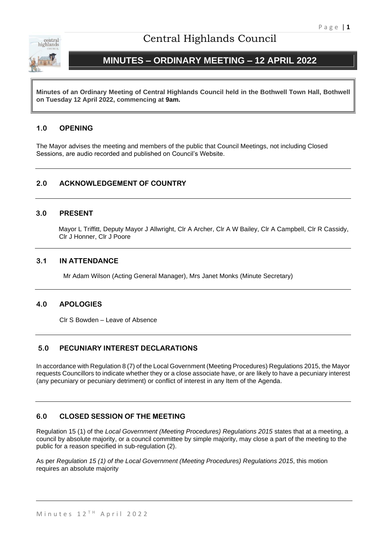

# Central Highlands Council

# **MINUTES – ORDINARY MEETING – 12 APRIL 2022**

**Minutes of an Ordinary Meeting of Central Highlands Council held in the Bothwell Town Hall, Bothwell on Tuesday 12 April 2022, commencing at 9am.**

## **1.0 OPENING**

The Mayor advises the meeting and members of the public that Council Meetings, not including Closed Sessions, are audio recorded and published on Council's Website.

## **2.0 ACKNOWLEDGEMENT OF COUNTRY**

## **3.0 PRESENT**

Mayor L Triffitt, Deputy Mayor J Allwright, Clr A Archer, Clr A W Bailey, Clr A Campbell, Clr R Cassidy, Clr J Honner, Clr J Poore

## **3.1 IN ATTENDANCE**

Mr Adam Wilson (Acting General Manager), Mrs Janet Monks (Minute Secretary)

## **4.0 APOLOGIES**

Clr S Bowden – Leave of Absence

## **5.0 PECUNIARY INTEREST DECLARATIONS**

In accordance with Regulation 8 (7) of the Local Government (Meeting Procedures) Regulations 2015, the Mayor requests Councillors to indicate whether they or a close associate have, or are likely to have a pecuniary interest (any pecuniary or pecuniary detriment) or conflict of interest in any Item of the Agenda.

## **6.0 CLOSED SESSION OF THE MEETING**

Regulation 15 (1) of the *Local Government (Meeting Procedures) Regulations 2015* states that at a meeting, a council by absolute majority, or a council committee by simple majority, may close a part of the meeting to the public for a reason specified in sub-regulation (2).

As per *Regulation 15 (1) of the Local Government (Meeting Procedures) Regulations 2015*, this motion requires an absolute majority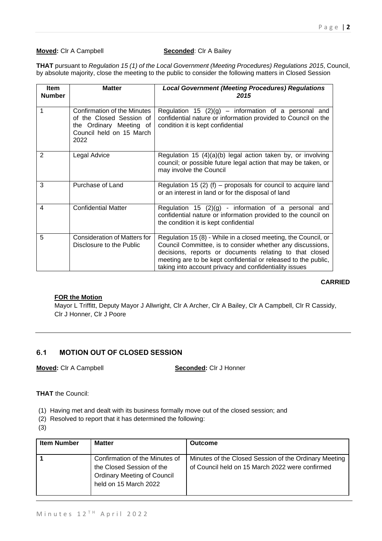## **Moved:** Clr A Campbell **Seconded:** Clr A Bailey

**THAT** pursuant to *Regulation 15 (1) of the Local Government (Meeting Procedures) Regulations 2015*, Council, by absolute majority, close the meeting to the public to consider the following matters in Closed Session

| <b>Item</b><br><b>Number</b> | <b>Matter</b>                                                                                                          | <b>Local Government (Meeting Procedures) Regulations</b><br>2015                                                                                                                                                                                                                                                    |
|------------------------------|------------------------------------------------------------------------------------------------------------------------|---------------------------------------------------------------------------------------------------------------------------------------------------------------------------------------------------------------------------------------------------------------------------------------------------------------------|
| 1                            | Confirmation of the Minutes<br>of the Closed Session of<br>the Ordinary Meeting of<br>Council held on 15 March<br>2022 | Regulation 15 $(2)(g)$ – information of a personal and<br>confidential nature or information provided to Council on the<br>condition it is kept confidential                                                                                                                                                        |
| 2                            | Legal Advice                                                                                                           | Regulation 15 $(4)(a)(b)$ legal action taken by, or involving<br>council; or possible future legal action that may be taken, or<br>may involve the Council                                                                                                                                                          |
| 3                            | Purchase of Land                                                                                                       | Regulation 15 (2) (f) – proposals for council to acquire land<br>or an interest in land or for the disposal of land                                                                                                                                                                                                 |
| 4                            | <b>Confidential Matter</b>                                                                                             | Regulation 15 $(2)(g)$ - information of a personal and<br>confidential nature or information provided to the council on<br>the condition it is kept confidential                                                                                                                                                    |
| 5                            | <b>Consideration of Matters for</b><br>Disclosure to the Public                                                        | Regulation 15 (8) - While in a closed meeting, the Council, or<br>Council Committee, is to consider whether any discussions,<br>decisions, reports or documents relating to that closed<br>meeting are to be kept confidential or released to the public,<br>taking into account privacy and confidentiality issues |

### **CARRIED**

## **FOR the Motion**

Mayor L Triffitt, Deputy Mayor J Allwright, Clr A Archer, Clr A Bailey, Clr A Campbell, Clr R Cassidy, Clr J Honner, Clr J Poore

## **6.1 MOTION OUT OF CLOSED SESSION**

**Moved:** Clr A Campbell **Seconded:** Clr J Honner

**THAT** the Council:

(1) Having met and dealt with its business formally move out of the closed session; and

- (2) Resolved to report that it has determined the following:
- (3)

| <b>Item Number</b> | <b>Matter</b>                                                                                                              | <b>Outcome</b>                                                                                           |
|--------------------|----------------------------------------------------------------------------------------------------------------------------|----------------------------------------------------------------------------------------------------------|
|                    | Confirmation of the Minutes of<br>the Closed Session of the<br><b>Ordinary Meeting of Council</b><br>held on 15 March 2022 | Minutes of the Closed Session of the Ordinary Meeting<br>of Council held on 15 March 2022 were confirmed |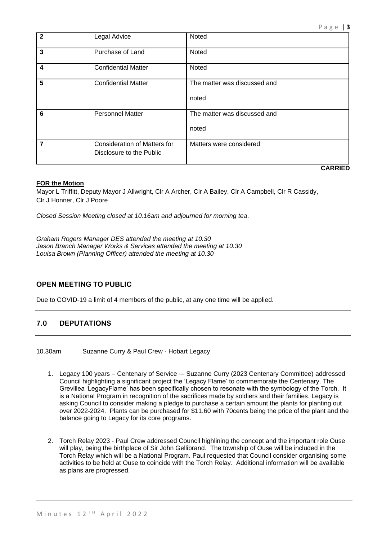| $\overline{2}$ | Legal Advice                                                    | Noted                                 |
|----------------|-----------------------------------------------------------------|---------------------------------------|
| 3              | Purchase of Land                                                | Noted                                 |
| 4              | <b>Confidential Matter</b>                                      | Noted                                 |
| 5              | <b>Confidential Matter</b>                                      | The matter was discussed and<br>noted |
| 6              | <b>Personnel Matter</b>                                         | The matter was discussed and<br>noted |
| $\overline{7}$ | <b>Consideration of Matters for</b><br>Disclosure to the Public | Matters were considered               |
|                |                                                                 | <b>CARRIED</b>                        |

Mayor L Triffitt, Deputy Mayor J Allwright, Clr A Archer, Clr A Bailey, Clr A Campbell, Clr R Cassidy, Clr J Honner, Clr J Poore

*Closed Session Meeting closed at 10.16am and adjourned for morning tea.*

*Graham Rogers Manager DES attended the meeting at 10.30 Jason Branch Manager Works & Services attended the meeting at 10.30 Louisa Brown (Planning Officer) attended the meeting at 10.30*

## **OPEN MEETING TO PUBLIC**

Due to COVID-19 a limit of 4 members of the public, at any one time will be applied.

## **7.0 DEPUTATIONS**

10.30am Suzanne Curry & Paul Crew - Hobart Legacy

- 1. Legacy 100 years Centenary of Service -- Suzanne Curry (2023 Centenary Committee) addressed Council highlighting a significant project the 'Legacy Flame' to commemorate the Centenary. The Grevillea 'LegacyFlame' has been specifically chosen to resonate with the symbology of the Torch. It is a National Program in recognition of the sacrifices made by soldiers and their families. Legacy is asking Council to consider making a pledge to purchase a certain amount the plants for planting out over 2022-2024. Plants can be purchased for \$11.60 with 70cents being the price of the plant and the balance going to Legacy for its core programs.
- 2. Torch Relay 2023 Paul Crew addressed Council highlining the concept and the important role Ouse will play, being the birthplace of Sir John Gellibrand. The township of Ouse will be included in the Torch Relay which will be a National Program. Paul requested that Council consider organising some activities to be held at Ouse to coincide with the Torch Relay. Additional information will be available as plans are progressed.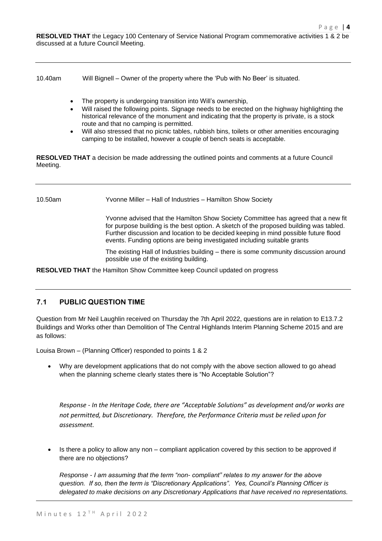**RESOLVED THAT** the Legacy 100 Centenary of Service National Program commemorative activities 1 & 2 be discussed at a future Council Meeting.

10.40am Will Bignell – Owner of the property where the 'Pub with No Beer' is situated.

- The property is undergoing transition into Will's ownership,
- Will raised the following points. Signage needs to be erected on the highway highlighting the historical relevance of the monument and indicating that the property is private, is a stock route and that no camping is permitted.
- Will also stressed that no picnic tables, rubbish bins, toilets or other amenities encouraging camping to be installed, however a couple of bench seats is acceptable.

**RESOLVED THAT** a decision be made addressing the outlined points and comments at a future Council Meeting.

10.50am Yvonne Miller – Hall of Industries – Hamilton Show Society

Yvonne advised that the Hamilton Show Society Committee has agreed that a new fit for purpose building is the best option. A sketch of the proposed building was tabled. Further discussion and location to be decided keeping in mind possible future flood events. Funding options are being investigated including suitable grants

The existing Hall of Industries building – there is some community discussion around possible use of the existing building.

**RESOLVED THAT** the Hamilton Show Committee keep Council updated on progress

## **7.1 PUBLIC QUESTION TIME**

Question from Mr Neil Laughlin received on Thursday the 7th April 2022, questions are in relation to E13.7.2 Buildings and Works other than Demolition of The Central Highlands Interim Planning Scheme 2015 and are as follows:

Louisa Brown – (Planning Officer) responded to points 1 & 2

• Why are development applications that do not comply with the above section allowed to go ahead when the planning scheme clearly states there is "No Acceptable Solution"?

*Response - In the Heritage Code, there are "Acceptable Solutions" as development and/or works are not permitted, but Discretionary. Therefore, the Performance Criteria must be relied upon for assessment.*

• Is there a policy to allow any non – compliant application covered by this section to be approved if there are no objections?

*Response - I am assuming that the term "non- compliant" relates to my answer for the above question. If so, then the term is "Discretionary Applications". Yes, Council's Planning Officer is delegated to make decisions on any Discretionary Applications that have received no representations.*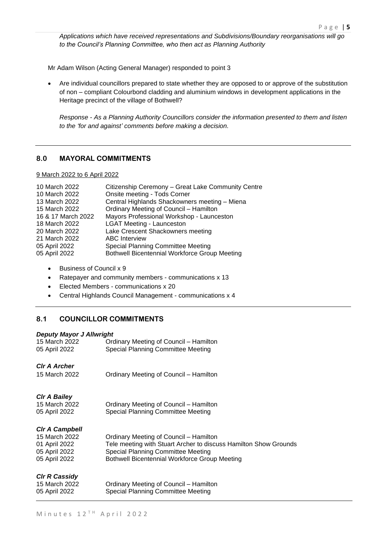*Applications which have received representations and Subdivisions/Boundary reorganisations will go to the Council's Planning Committee, who then act as Planning Authority*

Mr Adam Wilson (Acting General Manager) responded to point 3

• Are individual councillors prepared to state whether they are opposed to or approve of the substitution of non – compliant Colourbond cladding and aluminium windows in development applications in the Heritage precinct of the village of Bothwell?

*Response - As a Planning Authority Councillors consider the information presented to them and listen to the 'for and against' comments before making a decision.*

## **8.0 MAYORAL COMMITMENTS**

9 March 2022 to 6 April 2022

| 10 March 2022      | Citizenship Ceremony - Great Lake Community Centre   |
|--------------------|------------------------------------------------------|
| 10 March 2022      | Onsite meeting - Tods Corner                         |
| 13 March 2022      | Central Highlands Shackowners meeting - Miena        |
| 15 March 2022      | Ordinary Meeting of Council - Hamilton               |
| 16 & 17 March 2022 | Mayors Professional Workshop - Launceston            |
| 18 March 2022      | <b>LGAT Meeting - Launceston</b>                     |
| 20 March 2022      | Lake Crescent Shackowners meeting                    |
| 21 March 2022      | <b>ABC</b> Interview                                 |
| 05 April 2022      | <b>Special Planning Committee Meeting</b>            |
| 05 April 2022      | <b>Bothwell Bicentennial Workforce Group Meeting</b> |
|                    |                                                      |

- Business of Council x 9
- Ratepayer and community members communications x 13
- Elected Members communications x 20
- Central Highlands Council Management communications x 4

## **8.1 COUNCILLOR COMMITMENTS**

## *Deputy Mayor J Allwright*

| 15 March 2022<br>05 April 2022 | Ordinary Meeting of Council – Hamilton<br>Special Planning Committee Meeting                           |
|--------------------------------|--------------------------------------------------------------------------------------------------------|
|                                |                                                                                                        |
| <b>CIr A Archer</b>            |                                                                                                        |
| 15 March 2022                  | Ordinary Meeting of Council – Hamilton                                                                 |
|                                |                                                                                                        |
| <b>Cir A Bailey</b>            |                                                                                                        |
| 15 March 2022                  | Ordinary Meeting of Council – Hamilton                                                                 |
| 05 April 2022                  | Special Planning Committee Meeting                                                                     |
| <b>CIr A Campbell</b>          |                                                                                                        |
| 15 March 2022                  | Ordinary Meeting of Council – Hamilton                                                                 |
| 01 April 2022<br>05 April 2022 | Tele meeting with Stuart Archer to discuss Hamilton Show Grounds<br>Special Planning Committee Meeting |
| 05 April 2022                  | <b>Bothwell Bicentennial Workforce Group Meeting</b>                                                   |
|                                |                                                                                                        |
| <b>CIr R Cassidy</b>           |                                                                                                        |
| 15 March 2022                  | Ordinary Meeting of Council – Hamilton                                                                 |
| 05 April 2022                  | Special Planning Committee Meeting                                                                     |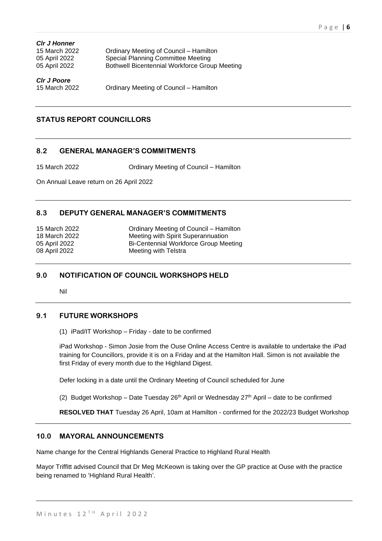| <b>Cir J Honner</b> |                                               |
|---------------------|-----------------------------------------------|
| 15 March 2022       | Ordinary Meeting of Council - Hamilton        |
| 05 April 2022       | <b>Special Planning Committee Meeting</b>     |
| 05 April 2022       | Bothwell Bicentennial Workforce Group Meeting |
| <b>CIr J Poore</b>  |                                               |
| 15 March 2022       | Ordinary Meeting of Council – Hamilton        |

## **STATUS REPORT COUNCILLORS**

## **8.2 GENERAL MANAGER'S COMMITMENTS**

15 March 2022 Ordinary Meeting of Council – Hamilton

On Annual Leave return on 26 April 2022

## **8.3 DEPUTY GENERAL MANAGER'S COMMITMENTS**

| 15 March 2022 | Ordinary Meeting of Council – Hamilton |
|---------------|----------------------------------------|
| 18 March 2022 | Meeting with Spirit Superannuation     |
| 05 April 2022 | Bi-Centennial Workforce Group Meeting  |
| 08 April 2022 | Meeting with Telstra                   |

## **9.0 NOTIFICATION OF COUNCIL WORKSHOPS HELD**

Nil

## **9.1 FUTURE WORKSHOPS**

(1) iPad/IT Workshop – Friday - date to be confirmed

iPad Workshop - Simon Josie from the Ouse Online Access Centre is available to undertake the iPad training for Councillors, provide it is on a Friday and at the Hamilton Hall. Simon is not available the first Friday of every month due to the Highland Digest.

Defer locking in a date until the Ordinary Meeting of Council scheduled for June

(2) Budget Workshop – Date Tuesday 26<sup>th</sup> April or Wednesday  $27<sup>th</sup>$  April – date to be confirmed

**RESOLVED THAT** Tuesday 26 April, 10am at Hamilton - confirmed for the 2022/23 Budget Workshop

## **10.0 MAYORAL ANNOUNCEMENTS**

Name change for the Central Highlands General Practice to Highland Rural Health

Mayor Triffitt advised Council that Dr Meg McKeown is taking over the GP practice at Ouse with the practice being renamed to 'Highland Rural Health'.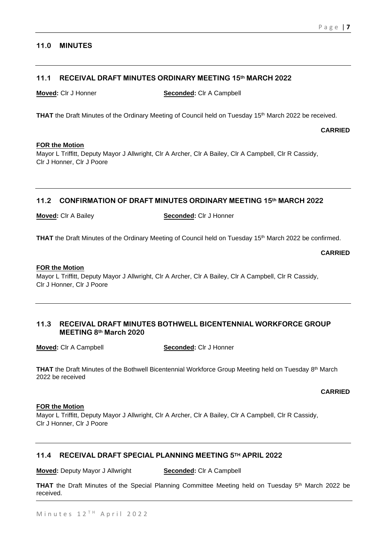## **11.0 MINUTES**

## **11.1 RECEIVAL DRAFT MINUTES ORDINARY MEETING 15th MARCH 2022**

**Moved:** Clr J Honner **Seconded:** Clr A Campbell

**THAT** the Draft Minutes of the Ordinary Meeting of Council held on Tuesday 15<sup>th</sup> March 2022 be received.

**CARRIED**

### **FOR the Motion**

Mayor L Triffitt, Deputy Mayor J Allwright, Clr A Archer, Clr A Bailey, Clr A Campbell, Clr R Cassidy, Clr J Honner, Clr J Poore

## **11.2 CONFIRMATION OF DRAFT MINUTES ORDINARY MEETING 15th MARCH 2022**

**Moved:** Clr A Bailey **Seconded:** Clr J Honner

THAT the Draft Minutes of the Ordinary Meeting of Council held on Tuesday 15<sup>th</sup> March 2022 be confirmed.

**CARRIED**

## **FOR the Motion**

Mayor L Triffitt, Deputy Mayor J Allwright, Clr A Archer, Clr A Bailey, Clr A Campbell, Clr R Cassidy, Clr J Honner, Clr J Poore

## **11.3 RECEIVAL DRAFT MINUTES BOTHWELL BICENTENNIAL WORKFORCE GROUP MEETING 8th March 2020**

**Moved:** Clr A Campbell **Seconded:** Clr J Honner

**THAT** the Draft Minutes of the Bothwell Bicentennial Workforce Group Meeting held on Tuesday 8<sup>th</sup> March 2022 be received

**CARRIED**

## **FOR the Motion**

Mayor L Triffitt, Deputy Mayor J Allwright, Clr A Archer, Clr A Bailey, Clr A Campbell, Clr R Cassidy, Clr J Honner, Clr J Poore

## **11.4 RECEIVAL DRAFT SPECIAL PLANNING MEETING 5TH APRIL 2022**

**Moved:** Deputy Mayor J Allwright **Seconded:** Clr A Campbell

THAT the Draft Minutes of the Special Planning Committee Meeting held on Tuesday 5<sup>th</sup> March 2022 be received.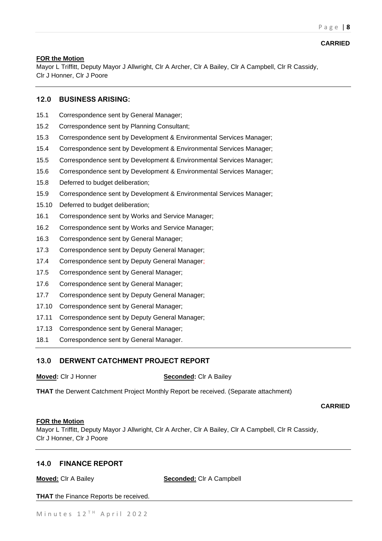Mayor L Triffitt, Deputy Mayor J Allwright, Clr A Archer, Clr A Bailey, Clr A Campbell, Clr R Cassidy, Clr J Honner, Clr J Poore

## **12.0 BUSINESS ARISING:**

- 15.1 Correspondence sent by General Manager;
- 15.2 Correspondence sent by Planning Consultant;
- 15.3 Correspondence sent by Development & Environmental Services Manager;
- 15.4 Correspondence sent by Development & Environmental Services Manager;
- 15.5 Correspondence sent by Development & Environmental Services Manager;
- 15.6 Correspondence sent by Development & Environmental Services Manager;
- 15.8 Deferred to budget deliberation;
- 15.9 Correspondence sent by Development & Environmental Services Manager;
- 15.10 Deferred to budget deliberation;
- 16.1 Correspondence sent by Works and Service Manager;
- 16.2 Correspondence sent by Works and Service Manager;
- 16.3 Correspondence sent by General Manager;
- 17.3 Correspondence sent by Deputy General Manager;
- 17.4 Correspondence sent by Deputy General Manager;
- 17.5 Correspondence sent by General Manager;
- 17.6 Correspondence sent by General Manager;
- 17.7 Correspondence sent by Deputy General Manager;
- 17.10 Correspondence sent by General Manager;
- 17.11 Correspondence sent by Deputy General Manager;
- 17.13 Correspondence sent by General Manager;
- 18.1 Correspondence sent by General Manager.

## **13.0 DERWENT CATCHMENT PROJECT REPORT**

| <b>Moved:</b> CIr J Honner |  |
|----------------------------|--|
|                            |  |

**Seconded:** Clr A Bailey

**THAT** the Derwent Catchment Project Monthly Report be received. (Separate attachment)

## **CARRIED**

### **FOR the Motion**

Mayor L Triffitt, Deputy Mayor J Allwright, Clr A Archer, Clr A Bailey, Clr A Campbell, Clr R Cassidy, Clr J Honner, Clr J Poore

## **14.0 FINANCE REPORT**

**Moved:** Clr A Bailey **Seconded:** Clr A Campbell

**THAT** the Finance Reports be received.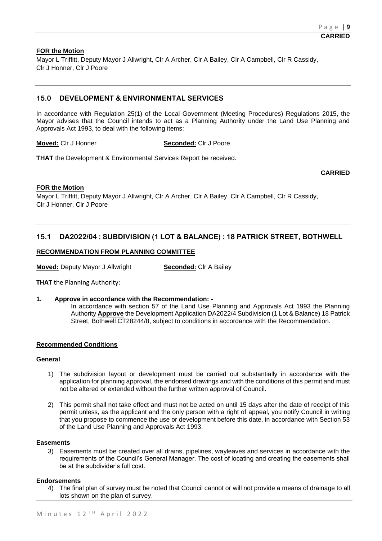Mayor L Triffitt, Deputy Mayor J Allwright, Clr A Archer, Clr A Bailey, Clr A Campbell, Clr R Cassidy, Clr J Honner, Clr J Poore

## **15.0 DEVELOPMENT & ENVIRONMENTAL SERVICES**

In accordance with Regulation 25(1) of the Local Government (Meeting Procedures) Regulations 2015, the Mayor advises that the Council intends to act as a Planning Authority under the Land Use Planning and Approvals Act 1993, to deal with the following items:

**Moved:** Clr J Honner **Seconded:** Clr J Poore

**THAT** the Development & Environmental Services Report be received.

**CARRIED**

## **FOR the Motion**

Mayor L Triffitt, Deputy Mayor J Allwright, Clr A Archer, Clr A Bailey, Clr A Campbell, Clr R Cassidy, Clr J Honner, Clr J Poore

## **15.1 DA2022/04 : SUBDIVISION (1 LOT & BALANCE) : 18 PATRICK STREET, BOTHWELL**

#### **RECOMMENDATION FROM PLANNING COMMITTEE**

**Moved:** Deputy Mayor J Allwright **Seconded:** Clr A Bailey

**THAT** the Planning Authority:

### **1. Approve in accordance with the Recommendation: -**

In accordance with section 57 of the Land Use Planning and Approvals Act 1993 the Planning Authority **Approve** the Development Application DA2022/4 Subdivision (1 Lot & Balance) 18 Patrick Street, Bothwell CT28244/8, subject to conditions in accordance with the Recommendation.

#### **Recommended Conditions**

#### **General**

- 1) The subdivision layout or development must be carried out substantially in accordance with the application for planning approval, the endorsed drawings and with the conditions of this permit and must not be altered or extended without the further written approval of Council.
- 2) This permit shall not take effect and must not be acted on until 15 days after the date of receipt of this permit unless, as the applicant and the only person with a right of appeal, you notify Council in writing that you propose to commence the use or development before this date, in accordance with Section 53 of the Land Use Planning and Approvals Act 1993.

#### **Easements**

3) Easements must be created over all drains, pipelines, wayleaves and services in accordance with the requirements of the Council's General Manager. The cost of locating and creating the easements shall be at the subdivider's full cost.

### **Endorsements**

4) The final plan of survey must be noted that Council cannot or will not provide a means of drainage to all lots shown on the plan of survey.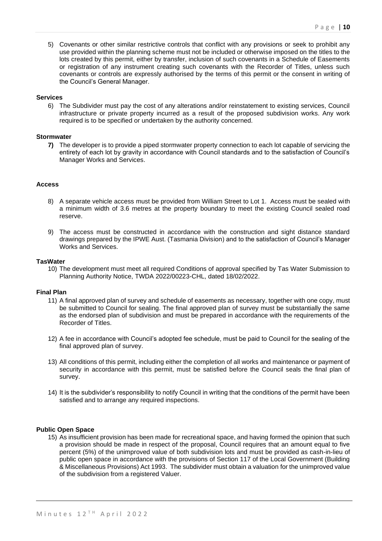5) Covenants or other similar restrictive controls that conflict with any provisions or seek to prohibit any use provided within the planning scheme must not be included or otherwise imposed on the titles to the lots created by this permit, either by transfer, inclusion of such covenants in a Schedule of Easements or registration of any instrument creating such covenants with the Recorder of Titles, unless such covenants or controls are expressly authorised by the terms of this permit or the consent in writing of the Council's General Manager.

#### **Services**

6) The Subdivider must pay the cost of any alterations and/or reinstatement to existing services, Council infrastructure or private property incurred as a result of the proposed subdivision works. Any work required is to be specified or undertaken by the authority concerned.

#### **Stormwater**

**7)** The developer is to provide a piped stormwater property connection to each lot capable of servicing the entirety of each lot by gravity in accordance with Council standards and to the satisfaction of Council's Manager Works and Services.

#### **Access**

- 8) A separate vehicle access must be provided from William Street to Lot 1. Access must be sealed with a minimum width of 3.6 metres at the property boundary to meet the existing Council sealed road reserve.
- 9) The access must be constructed in accordance with the construction and sight distance standard drawings prepared by the IPWE Aust. (Tasmania Division) and to the satisfaction of Council's Manager Works and Services.

#### **TasWater**

10) The development must meet all required Conditions of approval specified by Tas Water Submission to Planning Authority Notice, TWDA 2022/00223-CHL, dated 18/02/2022.

#### **Final Plan**

- 11) A final approved plan of survey and schedule of easements as necessary, together with one copy, must be submitted to Council for sealing. The final approved plan of survey must be substantially the same as the endorsed plan of subdivision and must be prepared in accordance with the requirements of the Recorder of Titles.
- 12) A fee in accordance with Council's adopted fee schedule, must be paid to Council for the sealing of the final approved plan of survey.
- 13) All conditions of this permit, including either the completion of all works and maintenance or payment of security in accordance with this permit, must be satisfied before the Council seals the final plan of survey.
- 14) It is the subdivider's responsibility to notify Council in writing that the conditions of the permit have been satisfied and to arrange any required inspections.

#### **Public Open Space**

15) As insufficient provision has been made for recreational space, and having formed the opinion that such a provision should be made in respect of the proposal, Council requires that an amount equal to five percent (5%) of the unimproved value of both subdivision lots and must be provided as cash-in-lieu of public open space in accordance with the provisions of Section 117 of the Local Government (Building & Miscellaneous Provisions) Act 1993. The subdivider must obtain a valuation for the unimproved value of the subdivision from a registered Valuer.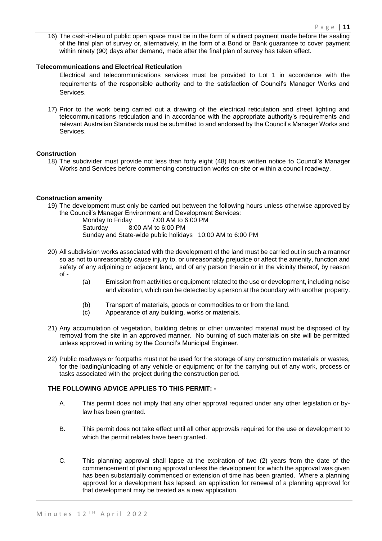16) The cash-in-lieu of public open space must be in the form of a direct payment made before the sealing of the final plan of survey or, alternatively, in the form of a Bond or Bank guarantee to cover payment within ninety (90) days after demand, made after the final plan of survey has taken effect.

## **Telecommunications and Electrical Reticulation**

- Electrical and telecommunications services must be provided to Lot 1 in accordance with the requirements of the responsible authority and to the satisfaction of Council's Manager Works and Services.
- 17) Prior to the work being carried out a drawing of the electrical reticulation and street lighting and telecommunications reticulation and in accordance with the appropriate authority's requirements and relevant Australian Standards must be submitted to and endorsed by the Council's Manager Works and Services.

## **Construction**

18) The subdivider must provide not less than forty eight (48) hours written notice to Council's Manager Works and Services before commencing construction works on-site or within a council roadway.

## **Construction amenity**

19) The development must only be carried out between the following hours unless otherwise approved by the Council's Manager Environment and Development Services:

7:00 AM to 6:00 PM Saturday 8:00 AM to 6:00 PM Sunday and State-wide public holidays 10:00 AM to 6:00 PM

- 20) All subdivision works associated with the development of the land must be carried out in such a manner so as not to unreasonably cause injury to, or unreasonably prejudice or affect the amenity, function and safety of any adjoining or adjacent land, and of any person therein or in the vicinity thereof, by reason of -
	- (a) Emission from activities or equipment related to the use or development, including noise and vibration, which can be detected by a person at the boundary with another property.
	- (b) Transport of materials, goods or commodities to or from the land.
	- (c) Appearance of any building, works or materials.
- 21) Any accumulation of vegetation, building debris or other unwanted material must be disposed of by removal from the site in an approved manner. No burning of such materials on site will be permitted unless approved in writing by the Council's Municipal Engineer.
- 22) Public roadways or footpaths must not be used for the storage of any construction materials or wastes, for the loading/unloading of any vehicle or equipment; or for the carrying out of any work, process or tasks associated with the project during the construction period.

## **THE FOLLOWING ADVICE APPLIES TO THIS PERMIT: -**

- A. This permit does not imply that any other approval required under any other legislation or bylaw has been granted.
- B. This permit does not take effect until all other approvals required for the use or development to which the permit relates have been granted.
- C. This planning approval shall lapse at the expiration of two (2) years from the date of the commencement of planning approval unless the development for which the approval was given has been substantially commenced or extension of time has been granted. Where a planning approval for a development has lapsed, an application for renewal of a planning approval for that development may be treated as a new application.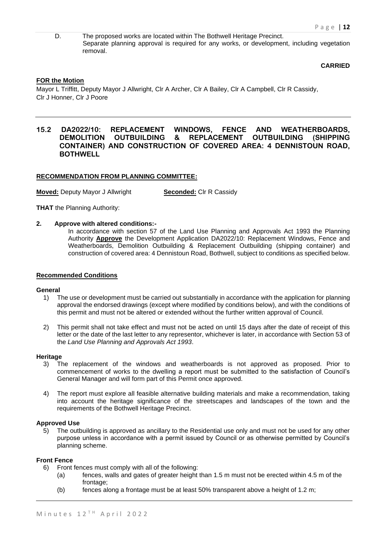D. The proposed works are located within The Bothwell Heritage Precinct. Separate planning approval is required for any works, or development, including vegetation removal.

**CARRIED**

## **FOR the Motion**

Mayor L Triffitt, Deputy Mayor J Allwright, Clr A Archer, Clr A Bailey, Clr A Campbell, Clr R Cassidy, Clr J Honner, Clr J Poore

## **15.2 DA2022/10: REPLACEMENT WINDOWS, FENCE AND WEATHERBOARDS, DEMOLITION OUTBUILDING & REPLACEMENT OUTBUILDING (SHIPPING CONTAINER) AND CONSTRUCTION OF COVERED AREA: 4 DENNISTOUN ROAD, BOTHWELL**

### **RECOMMENDATION FROM PLANNING COMMITTEE:**

**Moved:** Deputy Mayor J Allwright **Seconded:** Clr R Cassidy

**THAT** the Planning Authority:

### **2. Approve with altered conditions:-**

In accordance with section 57 of the Land Use Planning and Approvals Act 1993 the Planning Authority **Approve** the Development Application DA2022/10: Replacement Windows, Fence and Weatherboards, Demolition Outbuilding & Replacement Outbuilding (shipping container) and construction of covered area: 4 Dennistoun Road, Bothwell, subject to conditions as specified below.

### **Recommended Conditions**

#### **General**

- 1) The use or development must be carried out substantially in accordance with the application for planning approval the endorsed drawings (except where modified by conditions below), and with the conditions of this permit and must not be altered or extended without the further written approval of Council.
- 2) This permit shall not take effect and must not be acted on until 15 days after the date of receipt of this letter or the date of the last letter to any representor, whichever is later, in accordance with Section 53 of the *Land Use Planning and Approvals Act 1993*.

#### **Heritage**

- 3) The replacement of the windows and weatherboards is not approved as proposed. Prior to commencement of works to the dwelling a report must be submitted to the satisfaction of Council's General Manager and will form part of this Permit once approved.
- 4) The report must explore all feasible alternative building materials and make a recommendation, taking into account the heritage significance of the streetscapes and landscapes of the town and the requirements of the Bothwell Heritage Precinct.

### **Approved Use**

5) The outbuilding is approved as ancillary to the Residential use only and must not be used for any other purpose unless in accordance with a permit issued by Council or as otherwise permitted by Council's planning scheme.

#### **Front Fence**

- 6) Front fences must comply with all of the following:
	- (a) fences, walls and gates of greater height than 1.5 m must not be erected within 4.5 m of the frontage:
	- (b) fences along a frontage must be at least 50% transparent above a height of 1.2 m;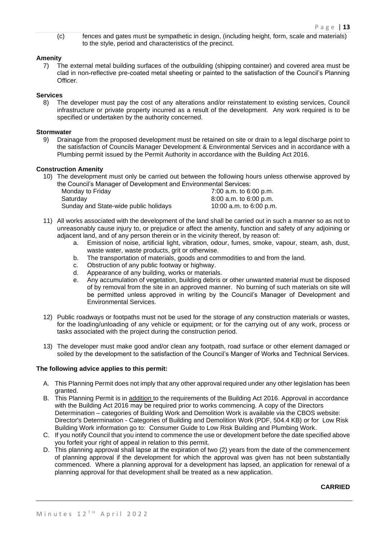(c) fences and gates must be sympathetic in design, (including height, form, scale and materials) to the style, period and characteristics of the precinct.

## **Amenity**

7) The external metal building surfaces of the outbuilding (shipping container) and covered area must be clad in non-reflective pre-coated metal sheeting or painted to the satisfaction of the Council's Planning Officer.

## **Services**

8) The developer must pay the cost of any alterations and/or reinstatement to existing services, Council infrastructure or private property incurred as a result of the development. Any work required is to be specified or undertaken by the authority concerned.

## **Stormwater**

9) Drainage from the proposed development must be retained on site or drain to a legal discharge point to the satisfaction of Councils Manager Development & Environmental Services and in accordance with a Plumbing permit issued by the Permit Authority in accordance with the Building Act 2016.

## **Construction Amenity**

10) The development must only be carried out between the following hours unless otherwise approved by the Council's Manager of Development and Environmental Services:

| Monday to Friday                      | 7:00 a.m. to 6:00 p.m.  |
|---------------------------------------|-------------------------|
| Saturdav                              | 8:00 a.m. to 6:00 p.m.  |
| Sunday and State-wide public holidays | 10:00 a.m. to 6:00 p.m. |

- 11) All works associated with the development of the land shall be carried out in such a manner so as not to unreasonably cause injury to, or prejudice or affect the amenity, function and safety of any adjoining or adjacent land, and of any person therein or in the vicinity thereof, by reason of:
	- a. Emission of noise, artificial light, vibration, odour, fumes, smoke, vapour, steam, ash, dust, waste water, waste products, grit or otherwise.
	- b. The transportation of materials, goods and commodities to and from the land.
	- c. Obstruction of any public footway or highway.
	- d. Appearance of any building, works or materials.
	- e. Any accumulation of vegetation, building debris or other unwanted material must be disposed of by removal from the site in an approved manner. No burning of such materials on site will be permitted unless approved in writing by the Council's Manager of Development and Environmental Services.
- 12) Public roadways or footpaths must not be used for the storage of any construction materials or wastes, for the loading/unloading of any vehicle or equipment; or for the carrying out of any work, process or tasks associated with the project during the construction period.
- 13) The developer must make good and/or clean any footpath, road surface or other element damaged or soiled by the development to the satisfaction of the Council's Manger of Works and Technical Services.

## **The following advice applies to this permit:**

- A. This Planning Permit does not imply that any other approval required under any other legislation has been granted.
- B. This Planning Permit is in addition to the requirements of the Building Act 2016. Approval in accordance with the Building Act 2016 may be required prior to works commencing. A copy of the Directors Determination – categories of Building Work and Demolition Work is available via the CBOS website: Director's Determination - [Categories of Building and Demolition Work \(PDF, 504.4 KB\)](https://www.cbos.tas.gov.au/__data/assets/pdf_file/0014/405014/Directors-Determination-Categories-of-Building-and-Demolition-Work-July-2017.pdf) or for Low Risk Building Work information go to: [Consumer Guide to Low Risk Building and Plumbing Work.](https://www.cbos.tas.gov.au/__data/assets/pdf_file/0004/404941/Fact-Sheet-Consumer-guide-to-low-risk-building-and-plumbing-work.pdf)
- C. If you notify Council that you intend to commence the use or development before the date specified above you forfeit your right of appeal in relation to this permit.
- D. This planning approval shall lapse at the expiration of two (2) years from the date of the commencement of planning approval if the development for which the approval was given has not been substantially commenced. Where a planning approval for a development has lapsed, an application for renewal of a planning approval for that development shall be treated as a new application.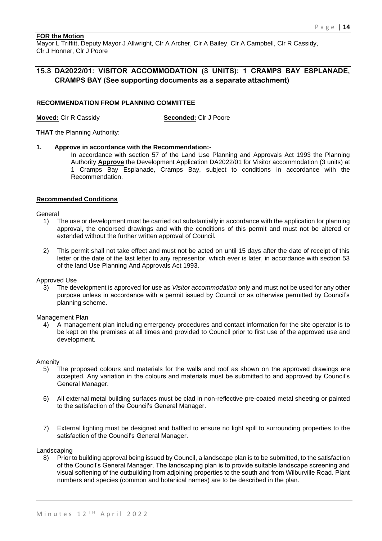Mayor L Triffitt, Deputy Mayor J Allwright, Clr A Archer, Clr A Bailey, Clr A Campbell, Clr R Cassidy, Clr J Honner, Clr J Poore

## **15.3 DA2022/01: VISITOR ACCOMMODATION (3 UNITS): 1 CRAMPS BAY ESPLANADE, CRAMPS BAY (See supporting documents as a separate attachment)**

#### **RECOMMENDATION FROM PLANNING COMMITTEE**

**Moved:** Clr R Cassidy **Seconded:** Clr J Poore

**THAT** the Planning Authority:

**1. Approve in accordance with the Recommendation:-**

In accordance with section 57 of the Land Use Planning and Approvals Act 1993 the Planning Authority **Approve** the Development Application DA2022/01 for Visitor accommodation (3 units) at 1 Cramps Bay Esplanade, Cramps Bay, subject to conditions in accordance with the Recommendation.

### **Recommended Conditions**

General

- 1) The use or development must be carried out substantially in accordance with the application for planning approval, the endorsed drawings and with the conditions of this permit and must not be altered or extended without the further written approval of Council.
- 2) This permit shall not take effect and must not be acted on until 15 days after the date of receipt of this letter or the date of the last letter to any representor, which ever is later, in accordance with section 53 of the land Use Planning And Approvals Act 1993.

Approved Use

3) The development is approved for use as *Visitor accommodation* only and must not be used for any other purpose unless in accordance with a permit issued by Council or as otherwise permitted by Council's planning scheme.

Management Plan

4) A management plan including emergency procedures and contact information for the site operator is to be kept on the premises at all times and provided to Council prior to first use of the approved use and development.

Amenity

- 5) The proposed colours and materials for the walls and roof as shown on the approved drawings are accepted. Any variation in the colours and materials must be submitted to and approved by Council's General Manager.
- 6) All external metal building surfaces must be clad in non-reflective pre-coated metal sheeting or painted to the satisfaction of the Council's General Manager.
- 7) External lighting must be designed and baffled to ensure no light spill to surrounding properties to the satisfaction of the Council's General Manager.

Landscaping

8) Prior to building approval being issued by Council, a landscape plan is to be submitted, to the satisfaction of the Council's General Manager. The landscaping plan is to provide suitable landscape screening and visual softening of the outbuilding from adjoining properties to the south and from Wilburville Road. Plant numbers and species (common and botanical names) are to be described in the plan.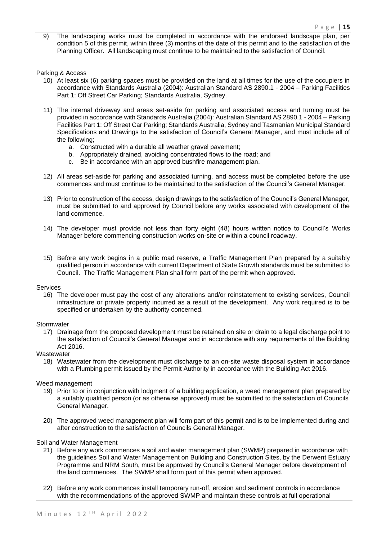9) The landscaping works must be completed in accordance with the endorsed landscape plan, per condition 5 of this permit, within three (3) months of the date of this permit and to the satisfaction of the Planning Officer. All landscaping must continue to be maintained to the satisfaction of Council.

Parking & Access

- 10) At least six (6) parking spaces must be provided on the land at all times for the use of the occupiers in accordance with Standards Australia (2004): Australian Standard AS 2890.1 - 2004 – Parking Facilities Part 1: Off Street Car Parking; Standards Australia, Sydney.
- 11) The internal driveway and areas set-aside for parking and associated access and turning must be provided in accordance with Standards Australia (2004): Australian Standard AS 2890.1 - 2004 – Parking Facilities Part 1: Off Street Car Parking; Standards Australia, Sydney and Tasmanian Municipal Standard Specifications and Drawings to the satisfaction of Council's General Manager, and must include all of the following;
	- a. Constructed with a durable all weather gravel pavement;
	- b. Appropriately drained, avoiding concentrated flows to the road; and
	- c. Be in accordance with an approved bushfire management plan.
- 12) All areas set-aside for parking and associated turning, and access must be completed before the use commences and must continue to be maintained to the satisfaction of the Council's General Manager.
- 13) Prior to construction of the access, design drawings to the satisfaction of the Council's General Manager, must be submitted to and approved by Council before any works associated with development of the land commence.
- 14) The developer must provide not less than forty eight (48) hours written notice to Council's Works Manager before commencing construction works on-site or within a council roadway.
- 15) Before any work begins in a public road reserve, a Traffic Management Plan prepared by a suitably qualified person in accordance with current Department of State Growth standards must be submitted to Council. The Traffic Management Plan shall form part of the permit when approved.

#### Services

16) The developer must pay the cost of any alterations and/or reinstatement to existing services, Council infrastructure or private property incurred as a result of the development. Any work required is to be specified or undertaken by the authority concerned.

#### **Stormwater**

17) Drainage from the proposed development must be retained on site or drain to a legal discharge point to the satisfaction of Council's General Manager and in accordance with any requirements of the Building Act 2016.

## **Wastewater**

18) Wastewater from the development must discharge to an on-site waste disposal system in accordance with a Plumbing permit issued by the Permit Authority in accordance with the Building Act 2016.

#### Weed management

- 19) Prior to or in conjunction with lodgment of a building application, a weed management plan prepared by a suitably qualified person (or as otherwise approved) must be submitted to the satisfaction of Councils General Manager.
- 20) The approved weed management plan will form part of this permit and is to be implemented during and after construction to the satisfaction of Councils General Manager.

#### Soil and Water Management

- 21) Before any work commences a soil and water management plan (SWMP) prepared in accordance with the guidelines Soil and Water Management on Building and Construction Sites, by the Derwent Estuary Programme and NRM South, must be approved by Council's General Manager before development of the land commences. The SWMP shall form part of this permit when approved.
- 22) Before any work commences install temporary run-off, erosion and sediment controls in accordance with the recommendations of the approved SWMP and maintain these controls at full operational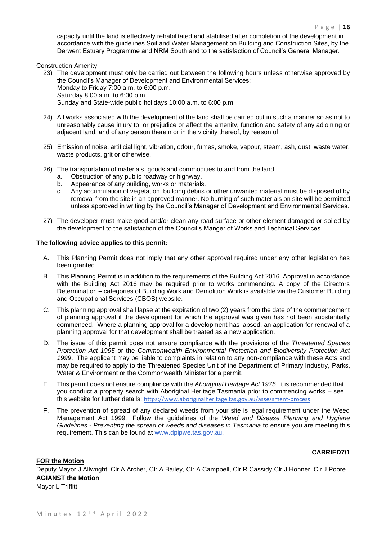capacity until the land is effectively rehabilitated and stabilised after completion of the development in accordance with the guidelines Soil and Water Management on Building and Construction Sites, by the Derwent Estuary Programme and NRM South and to the satisfaction of Council's General Manager.

Construction Amenity

- 23) The development must only be carried out between the following hours unless otherwise approved by the Council's Manager of Development and Environmental Services: Monday to Friday 7:00 a.m. to 6:00 p.m. Saturday 8:00 a.m. to 6:00 p.m. Sunday and State-wide public holidays 10:00 a.m. to 6:00 p.m.
- 24) All works associated with the development of the land shall be carried out in such a manner so as not to unreasonably cause injury to, or prejudice or affect the amenity, function and safety of any adjoining or adjacent land, and of any person therein or in the vicinity thereof, by reason of:
- 25) Emission of noise, artificial light, vibration, odour, fumes, smoke, vapour, steam, ash, dust, waste water, waste products, grit or otherwise.
- 26) The transportation of materials, goods and commodities to and from the land.
	- a. Obstruction of any public roadway or highway.
	- b. Appearance of any building, works or materials.
	- c. Any accumulation of vegetation, building debris or other unwanted material must be disposed of by removal from the site in an approved manner. No burning of such materials on site will be permitted unless approved in writing by the Council's Manager of Development and Environmental Services.
- 27) The developer must make good and/or clean any road surface or other element damaged or soiled by the development to the satisfaction of the Council's Manger of Works and Technical Services.

#### **The following advice applies to this permit:**

- A. This Planning Permit does not imply that any other approval required under any other legislation has been granted.
- B. This Planning Permit is in addition to the requirements of the Building Act 2016. Approval in accordance with the Building Act 2016 may be required prior to works commencing. A copy of the Directors Determination – categories of Building Work and Demolition Work is available via the Customer Building and Occupational Services (CBOS) website.
- C. This planning approval shall lapse at the expiration of two (2) years from the date of the commencement of planning approval if the development for which the approval was given has not been substantially commenced. Where a planning approval for a development has lapsed, an application for renewal of a planning approval for that development shall be treated as a new application.
- D. The issue of this permit does not ensure compliance with the provisions of the *Threatened Species Protection Act 1995* or the *Commonwealth Environmental Protection and Biodiversity Protection Act 1999*. The applicant may be liable to complaints in relation to any non-compliance with these Acts and may be required to apply to the Threatened Species Unit of the Department of Primary Industry, Parks, Water & Environment or the Commonwealth Minister for a permit.
- E. This permit does not ensure compliance with the *Aboriginal Heritage Act 1975*. It is recommended that you conduct a property search with Aboriginal Heritage Tasmania prior to commencing works – see this website for further details: <https://www.aboriginalheritage.tas.gov.au/assessment-process>
- F. The prevention of spread of any declared weeds from your site is legal requirement under the Weed Management Act 1999. Follow the guidelines of the *Weed and Disease Planning and Hygiene Guidelines - Preventing the spread of weeds and diseases in Tasmania* to ensure you are meeting this requirement. This can be found at [www.dpipwe.tas.gov.au.](http://www.dpipwe.tas.gov.au/)

## **CARRIED7/1**

### **FOR the Motion**

Deputy Mayor J Allwright, Clr A Archer, Clr A Bailey, Clr A Campbell, Clr R Cassidy,Clr J Honner, Clr J Poore **AGIANST the Motion**

Mayor L Triffitt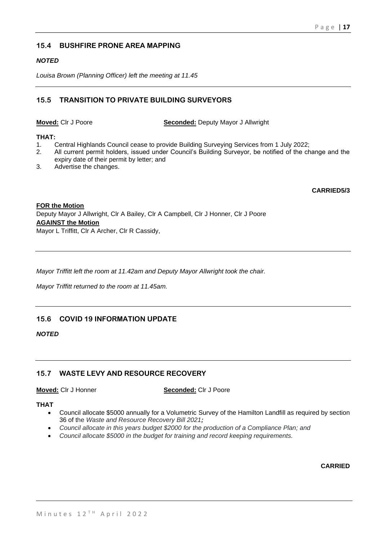## **15.4 BUSHFIRE PRONE AREA MAPPING**

## *NOTED*

*Louisa Brown (Planning Officer) left the meeting at 11.45*

## **15.5 TRANSITION TO PRIVATE BUILDING SURVEYORS**

**Moved:** Clr J Poore **Seconded:** Deputy Mayor J Allwright

## **THAT:**

- 1. Central Highlands Council cease to provide Building Surveying Services from 1 July 2022;<br>2. All current permit holders, issued under Council's Building Surveyor, be notified of the ch
- All current permit holders, issued under Council's Building Surveyor, be notified of the change and the expiry date of their permit by letter; and
- 3. Advertise the changes.

**CARRIED5/3**

## **FOR the Motion** Deputy Mayor J Allwright, Clr A Bailey, Clr A Campbell, Clr J Honner, Clr J Poore **AGAINST the Motion** Mayor L Triffitt, Clr A Archer, Clr R Cassidy,

*Mayor Triffitt left the room at 11.42am and Deputy Mayor Allwright took the chair.*

*Mayor Triffitt returned to the room at 11.45am.*

## **15.6 COVID 19 INFORMATION UPDATE**

## *NOTED*

## **15.7 WASTE LEVY AND RESOURCE RECOVERY**

**Moved:** Clr J Honner **Seconded:** Clr J Poore

## **THAT**

- Council allocate \$5000 annually for a Volumetric Survey of the Hamilton Landfill as required by section 36 of the *Waste and Resource Recovery Bill 2021;*
- *Council allocate in this years budget \$2000 for the production of a Compliance Plan; and*
- *Council allocate \$5000 in the budget for training and record keeping requirements.*

**CARRIED**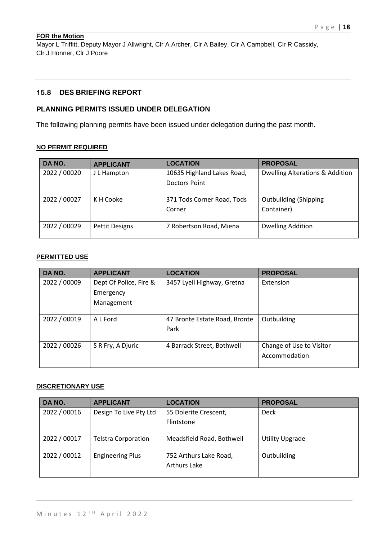Mayor L Triffitt, Deputy Mayor J Allwright, Clr A Archer, Clr A Bailey, Clr A Campbell, Clr R Cassidy, Clr J Honner, Clr J Poore

## **15.8 DES BRIEFING REPORT**

## **PLANNING PERMITS ISSUED UNDER DELEGATION**

The following planning permits have been issued under delegation during the past month.

## **NO PERMIT REQUIRED**

| DA NO.       | <b>APPLICANT</b>      | <b>LOCATION</b>                             | <b>PROPOSAL</b>                            |
|--------------|-----------------------|---------------------------------------------|--------------------------------------------|
| 2022 / 00020 | J L Hampton           | 10635 Highland Lakes Road,<br>Doctors Point | <b>Dwelling Alterations &amp; Addition</b> |
| 2022 / 00027 | K H Cooke             | 371 Tods Corner Road, Tods<br>Corner        | <b>Outbuilding (Shipping</b><br>Container) |
| 2022 / 00029 | <b>Pettit Designs</b> | 7 Robertson Road, Miena                     | <b>Dwelling Addition</b>                   |

## **PERMITTED USE**

| DA NO.       | <b>APPLICANT</b>       | <b>LOCATION</b>               | <b>PROPOSAL</b>          |
|--------------|------------------------|-------------------------------|--------------------------|
| 2022 / 00009 | Dept Of Police, Fire & | 3457 Lyell Highway, Gretna    | Extension                |
|              | Emergency              |                               |                          |
|              | Management             |                               |                          |
|              |                        |                               |                          |
| 2022 / 00019 | A L Ford               | 47 Bronte Estate Road, Bronte | Outbuilding              |
|              |                        | Park                          |                          |
|              |                        |                               |                          |
| 2022 / 00026 | S R Fry, A Djuric      | 4 Barrack Street, Bothwell    | Change of Use to Visitor |
|              |                        |                               | Accommodation            |
|              |                        |                               |                          |

## **DISCRETIONARY USE**

| DA NO.       | <b>APPLICANT</b>           | <b>LOCATION</b>           | <b>PROPOSAL</b>        |
|--------------|----------------------------|---------------------------|------------------------|
| 2022 / 00016 | Design To Live Pty Ltd     | 55 Dolerite Crescent,     | <b>Deck</b>            |
|              |                            | Flintstone                |                        |
|              |                            |                           |                        |
| 2022 / 00017 | <b>Telstra Corporation</b> | Meadsfield Road, Bothwell | <b>Utility Upgrade</b> |
| 2022 / 00012 | <b>Engineering Plus</b>    | 752 Arthurs Lake Road,    | Outbuilding            |
|              |                            | <b>Arthurs Lake</b>       |                        |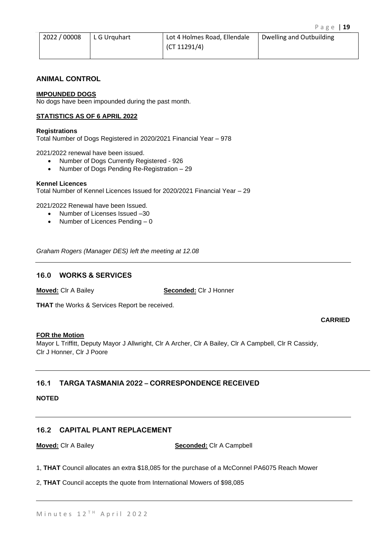| 2022/00008 | L G Urquhart | Lot 4 Holmes Road, Ellendale | Dwelling and Outbuilding |
|------------|--------------|------------------------------|--------------------------|
|            |              | $\sqrt{(C}T 11291/4)$        |                          |

## **ANIMAL CONTROL**

## **IMPOUNDED DOGS**

No dogs have been impounded during the past month.

### **STATISTICS AS OF 6 APRIL 2022**

#### **Registrations**

Total Number of Dogs Registered in 2020/2021 Financial Year – 978

2021/2022 renewal have been issued.

- Number of Dogs Currently Registered 926
- Number of Dogs Pending Re-Registration 29

#### **Kennel Licences**

Total Number of Kennel Licences Issued for 2020/2021 Financial Year – 29

2021/2022 Renewal have been Issued.

- Number of Licenses Issued –30
- Number of Licences Pending 0

*Graham Rogers (Manager DES) left the meeting at 12.08*

## **16.0 WORKS & SERVICES**

**Moved:** Clr A Bailey **Seconded:** Clr J Honner

**THAT** the Works & Services Report be received.

**CARRIED**

## **FOR the Motion**

Mayor L Triffitt, Deputy Mayor J Allwright, Clr A Archer, Clr A Bailey, Clr A Campbell, Clr R Cassidy, Clr J Honner, Clr J Poore

## **16.1 TARGA TASMANIA 2022 – CORRESPONDENCE RECEIVED**

## **NOTED**

## **16.2 CAPITAL PLANT REPLACEMENT**

**Moved:** Clr A Bailey **Seconded:** Clr A Campbell

1, **THAT** Council allocates an extra \$18,085 for the purchase of a McConnel PA6075 Reach Mower

2, **THAT** Council accepts the quote from International Mowers of \$98,085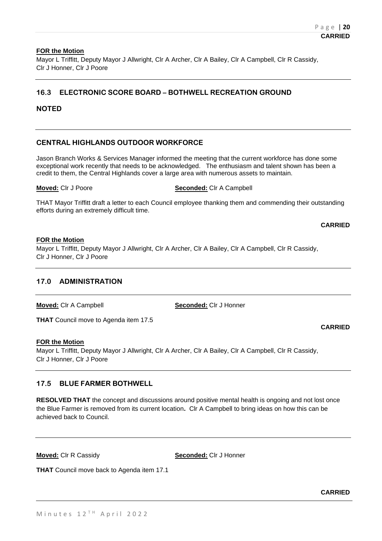Mayor L Triffitt, Deputy Mayor J Allwright, Clr A Archer, Clr A Bailey, Clr A Campbell, Clr R Cassidy, Clr J Honner, Clr J Poore

## **16.3 ELECTRONIC SCORE BOARD – BOTHWELL RECREATION GROUND**

## **NOTED**

## **CENTRAL HIGHLANDS OUTDOOR WORKFORCE**

Jason Branch Works & Services Manager informed the meeting that the current workforce has done some exceptional work recently that needs to be acknowledged. The enthusiasm and talent shown has been a credit to them, the Central Highlands cover a large area with numerous assets to maintain.

**Moved:** Clr J Poore **Seconded:** Clr A Campbell

THAT Mayor Triffitt draft a letter to each Council employee thanking them and commending their outstanding efforts during an extremely difficult time.

**CARRIED**

**CARRIED**

### **FOR the Motion**

Mayor L Triffitt, Deputy Mayor J Allwright, Clr A Archer, Clr A Bailey, Clr A Campbell, Clr R Cassidy, Clr J Honner, Clr J Poore

## **17.0 ADMINISTRATION**

**Moved:** Clr A Campbell **Seconded:** Clr J Honner

**THAT** Council move to Agenda item 17.5

### **FOR the Motion**

Mayor L Triffitt, Deputy Mayor J Allwright, Clr A Archer, Clr A Bailey, Clr A Campbell, Clr R Cassidy, Clr J Honner, Clr J Poore

## **17.5 BLUE FARMER BOTHWELL**

**RESOLVED THAT** the concept and discussions around positive mental health is ongoing and not lost once the Blue Farmer is removed from its current location**.** Clr A Campbell to bring ideas on how this can be achieved back to Council.

**Moved:** Clr R Cassidy **Seconded:** Clr J Honner

**THAT** Council move back to Agenda item 17.1

**CARRIED**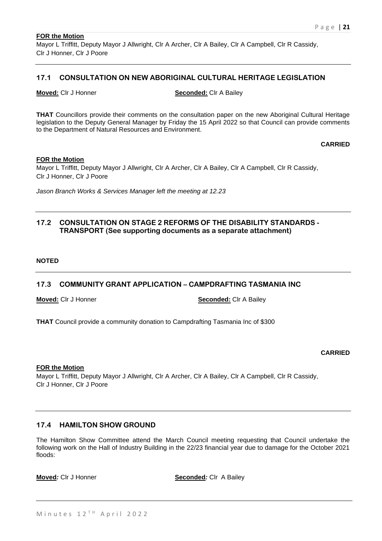Mayor L Triffitt, Deputy Mayor J Allwright, Clr A Archer, Clr A Bailey, Clr A Campbell, Clr R Cassidy, Clr J Honner, Clr J Poore

## **17.1 CONSULTATION ON NEW ABORIGINAL CULTURAL HERITAGE LEGISLATION**

**Moved:** Clr J Honner **Seconded:** Clr A Bailey

**THAT** Councillors provide their comments on the consultation paper on the new Aboriginal Cultural Heritage legislation to the Deputy General Manager by Friday the 15 April 2022 so that Council can provide comments to the Department of Natural Resources and Environment.

**CARRIED**

### **FOR the Motion**

Mayor L Triffitt, Deputy Mayor J Allwright, Clr A Archer, Clr A Bailey, Clr A Campbell, Clr R Cassidy, Clr J Honner, Clr J Poore

*Jason Branch Works & Services Manager left the meeting at 12.23*

## **17.2 CONSULTATION ON STAGE 2 REFORMS OF THE DISABILITY STANDARDS - TRANSPORT (See supporting documents as a separate attachment)**

### **NOTED**

## **17.3 COMMUNITY GRANT APPLICATION – CAMPDRAFTING TASMANIA INC**

**Moved:** Clr J Honner **Seconded:** Clr A Bailey

**THAT** Council provide a community donation to Campdrafting Tasmania Inc of \$300

### **CARRIED**

### **FOR the Motion**

Mayor L Triffitt, Deputy Mayor J Allwright, Clr A Archer, Clr A Bailey, Clr A Campbell, Clr R Cassidy, Clr J Honner, Clr J Poore

## **17.4 HAMILTON SHOW GROUND**

The Hamilton Show Committee attend the March Council meeting requesting that Council undertake the following work on the Hall of Industry Building in the 22/23 financial year due to damage for the October 2021 floods:

**Moved**: Clr J Honner **Seconded**: Clr A Bailey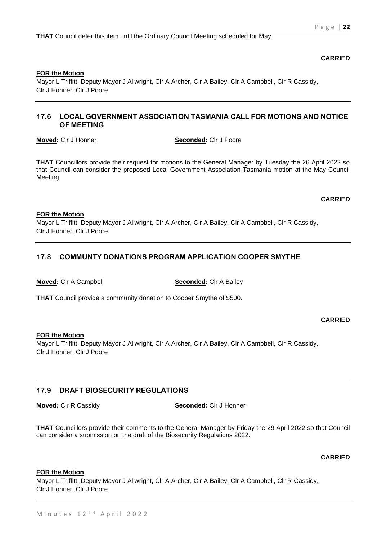**THAT** Council defer this item until the Ordinary Council Meeting scheduled for May.

**CARRIED**

## **FOR the Motion**

Mayor L Triffitt, Deputy Mayor J Allwright, Clr A Archer, Clr A Bailey, Clr A Campbell, Clr R Cassidy, Clr J Honner, Clr J Poore

## **17.6 LOCAL GOVERNMENT ASSOCIATION TASMANIA CALL FOR MOTIONS AND NOTICE OF MEETING**

**Moved***:* Clr J Honner **Seconded***:* Clr J Poore

**THAT** Councillors provide their request for motions to the General Manager by Tuesday the 26 April 2022 so that Council can consider the proposed Local Government Association Tasmania motion at the May Council Meeting.

## **CARRIED**

## **FOR the Motion**

Mayor L Triffitt, Deputy Mayor J Allwright, Clr A Archer, Clr A Bailey, Clr A Campbell, Clr R Cassidy, Clr J Honner, Clr J Poore

## **17.8 COMMUNTY DONATIONS PROGRAM APPLICATION COOPER SMYTHE**

**Moved***:* Clr A Campbell **Seconded***:* Clr A Bailey

**THAT** Council provide a community donation to Cooper Smythe of \$500.

**CARRIED**

### **FOR the Motion**

Mayor L Triffitt, Deputy Mayor J Allwright, Clr A Archer, Clr A Bailey, Clr A Campbell, Clr R Cassidy, Clr J Honner, Clr J Poore

## **17.9 DRAFT BIOSECURITY REGULATIONS**

**Moved**: CIr R Cassidy **Seconded**: CIr J Honner

**THAT** Councillors provide their comments to the General Manager by Friday the 29 April 2022 so that Council can consider a submission on the draft of the Biosecurity Regulations 2022.

**CARRIED**

### **FOR the Motion**

Mayor L Triffitt, Deputy Mayor J Allwright, Clr A Archer, Clr A Bailey, Clr A Campbell, Clr R Cassidy, Clr J Honner, Clr J Poore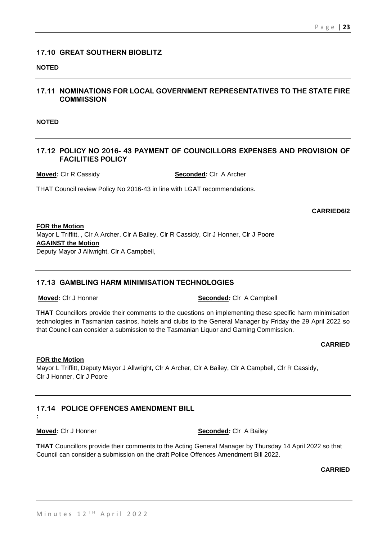## **17.10 GREAT SOUTHERN BIOBLITZ**

## **NOTED**

## **17.11 NOMINATIONS FOR LOCAL GOVERNMENT REPRESENTATIVES TO THE STATE FIRE COMMISSION**

**NOTED**

## **17.12 POLICY NO 2016- 43 PAYMENT OF COUNCILLORS EXPENSES AND PROVISION OF FACILITIES POLICY**

**Moved***:* Clr R Cassidy **Seconded***:* Clr A Archer

THAT Council review Policy No 2016-43 in line with LGAT recommendations.

## **CARRIED6/2**

**FOR the Motion** Mayor L Triffitt, , Clr A Archer, Clr A Bailey, Clr R Cassidy, Clr J Honner, Clr J Poore **AGAINST the Motion** Deputy Mayor J Allwright, Clr A Campbell,

## **17.13 GAMBLING HARM MINIMISATION TECHNOLOGIES**

**Moved**: CIr J Honner **Seconded**: CIr A Campbell

**THAT** Councillors provide their comments to the questions on implementing these specific harm minimisation technologies in Tasmanian casinos, hotels and clubs to the General Manager by Friday the 29 April 2022 so that Council can consider a submission to the Tasmanian Liquor and Gaming Commission.

### **CARRIED**

### **FOR the Motion**

Mayor L Triffitt, Deputy Mayor J Allwright, Clr A Archer, Clr A Bailey, Clr A Campbell, Clr R Cassidy, Clr J Honner, Clr J Poore

## **17.14 POLICE OFFENCES AMENDMENT BILL**

**:**

**Moved**: CIr J Honner **Seconded**: CIr A Bailey

**THAT** Councillors provide their comments to the Acting General Manager by Thursday 14 April 2022 so that Council can consider a submission on the draft Police Offences Amendment Bill 2022.

**CARRIED**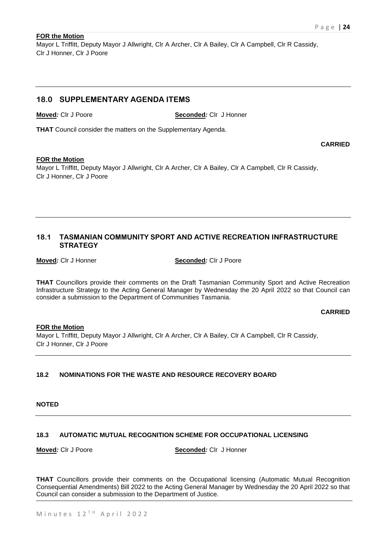**CARRIED**

## **FOR the Motion**

Mayor L Triffitt, Deputy Mayor J Allwright, Clr A Archer, Clr A Bailey, Clr A Campbell, Clr R Cassidy, Clr J Honner, Clr J Poore

## **18.0 SUPPLEMENTARY AGENDA ITEMS**

**Moved***:* Clr J Poore **Seconded***:* Clr J Honner

**THAT** Council consider the matters on the Supplementary Agenda.

### **FOR the Motion**

Mayor L Triffitt, Deputy Mayor J Allwright, Clr A Archer, Clr A Bailey, Clr A Campbell, Clr R Cassidy, Clr J Honner, Clr J Poore

## **18.1 TASMANIAN COMMUNITY SPORT AND ACTIVE RECREATION INFRASTRUCTURE STRATEGY**

**Moved**: Cir J Honner **Seconded**: Cir J Poore

**THAT** Councillors provide their comments on the Draft Tasmanian Community Sport and Active Recreation Infrastructure Strategy to the Acting General Manager by Wednesday the 20 April 2022 so that Council can consider a submission to the Department of Communities Tasmania.

### **CARRIED**

## **FOR the Motion**

Mayor L Triffitt, Deputy Mayor J Allwright, Clr A Archer, Clr A Bailey, Clr A Campbell, Clr R Cassidy, Clr J Honner, Clr J Poore

## **18.2 NOMINATIONS FOR THE WASTE AND RESOURCE RECOVERY BOARD**

## **NOTED**

## **18.3 AUTOMATIC MUTUAL RECOGNITION SCHEME FOR OCCUPATIONAL LICENSING**

**Moved***:* Clr J Poore **Seconded***:* Clr J Honner

**THAT** Councillors provide their comments on the Occupational licensing (Automatic Mutual Recognition Consequential Amendments) Bill 2022 to the Acting General Manager by Wednesday the 20 April 2022 so that Council can consider a submission to the Department of Justice.